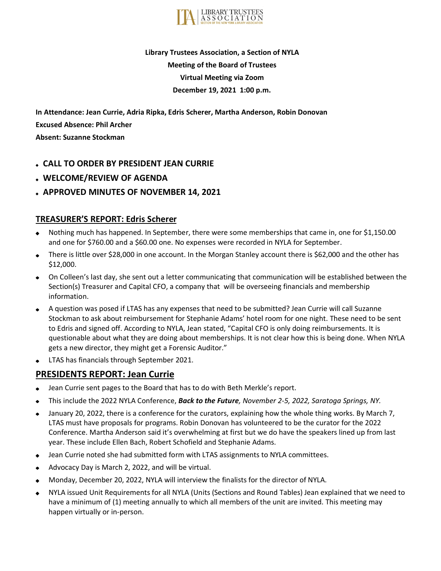

# **Library Trustees Association, a Section of NYLA Meeting of the Board of Trustees Virtual Meeting via Zoom December 19, 2021 1:00 p.m.**

**In Attendance: Jean Currie, Adria Ripka, Edris Scherer, Martha Anderson, Robin Donovan Excused Absence: Phil Archer Absent: Suzanne Stockman**

- **CALL TO ORDER BY PRESIDENT JEAN CURRIE**
- **WELCOME/REVIEW OF AGENDA**
- **APPROVED MINUTES OF NOVEMBER 14, 2021**

## **TREASURER'S REPORT: Edris Scherer**

- Nothing much has happened. In September, there were some memberships that came in, one for \$1,150.00 and one for \$760.00 and a \$60.00 one. No expenses were recorded in NYLA for September.
- There is little over \$28,000 in one account. In the Morgan Stanley account there is \$62,000 and the other has  $\bullet$ \$12,000.
- On Colleen's last day, she sent out a letter communicating that communication will be established between the Section(s) Treasurer and Capital CFO, a company that will be overseeing financials and membership information.
- A question was posed if LTAS has any expenses that need to be submitted? Jean Currie will call Suzanne Stockman to ask about reimbursement for Stephanie Adams' hotel room for one night. These need to be sent to Edris and signed off. According to NYLA, Jean stated, "Capital CFO is only doing reimbursements. It is questionable about what they are doing about memberships. It is not clear how this is being done. When NYLA gets a new director, they might get a Forensic Auditor."
- LTAS has financials through September 2021.

## **PRESIDENTS REPORT: Jean Currie**

- Jean Currie sent pages to the Board that has to do with Beth Merkle's report.
- This include the 2022 NYLA Conference, *Back to the Future, November 2-5, 2022, Saratoga Springs, NY.*
- January 20, 2022, there is a conference for the curators, explaining how the whole thing works. By March 7, LTAS must have proposals for programs. Robin Donovan has volunteered to be the curator for the 2022 Conference. Martha Anderson said it's overwhelming at first but we do have the speakers lined up from last year. These include Ellen Bach, Robert Schofield and Stephanie Adams.
- Jean Currie noted she had submitted form with LTAS assignments to NYLA committees.
- Advocacy Day is March 2, 2022, and will be virtual.
- Monday, December 20, 2022, NYLA will interview the finalists for the director of NYLA.
- NYLA issued Unit Requirements for all NYLA (Units (Sections and Round Tables) Jean explained that we need to have a minimum of (1) meeting annually to which all members of the unit are invited. This meeting may happen virtually or in-person.